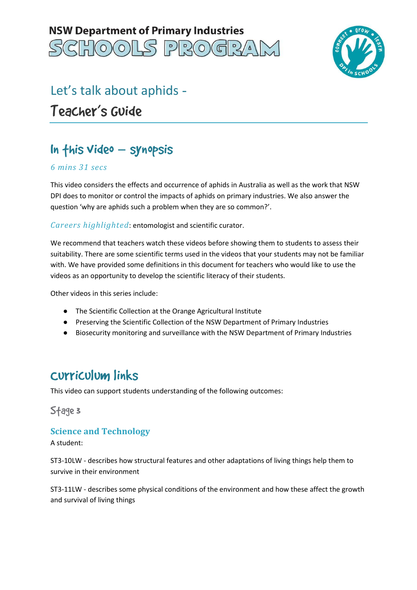



# Let's talk about aphids Teacher's Guide

## In this Video – synopsis

#### *6 mins 31 secs*

 This video considers the effects and occurrence of aphids in Australia as well as the work that NSW DPI does to monitor or control the impacts of aphids on primary industries. We also answer the question 'why are aphids such a problem when they are so common?'.

*Careers highlighted*: entomologist and scientific curator.

 We recommend that teachers watch these videos before showing them to students to assess their suitability. There are some scientific terms used in the videos that your students may not be familiar with. We have provided some definitions in this document for teachers who would like to use the videos as an opportunity to develop the scientific literacy of their students.

Other videos in this series include:

- The Scientific Collection at the Orange Agricultural Institute
- Preserving the Scientific Collection of the NSW Department of Primary Industries
- Biosecurity monitoring and surveillance with the NSW Department of Primary Industries

### Curriculum links

This video can support students understanding of the following outcomes:

Stage 3

#### **Science and Technology**

A student:

 ST3-10LW - describes how structural features and other adaptations of living things help them to survive in their environment

 ST3-11LW - describes some physical conditions of the environment and how these affect the growth and survival of living things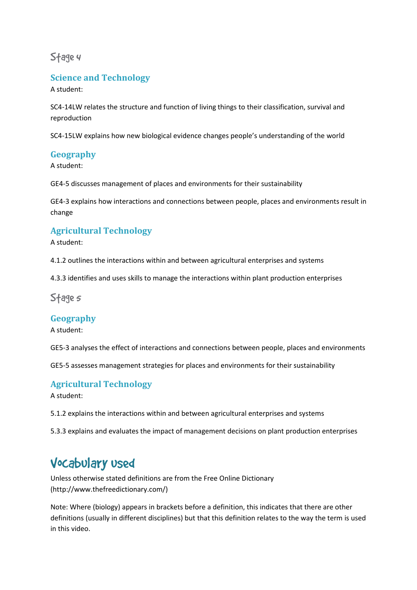Stage 4

### **Science and Technology**

A student:

 SC4-14LW relates the structure and function of living things to their classification, survival and reproduction

reproduction<br>SC4-15LW explains how new biological evidence changes people's understanding of the world

#### **Geography**

A student:

GE4-5 discusses management of places and environments for their sustainability

 GE4-3 explains how interactions and connections between people, places and environments result in change

### **Agricultural Technology**

A student:

4.1.2 outlines the interactions within and between agricultural enterprises and systems

4.3.3 identifies and uses skills to manage the interactions within plant production enterprises

Stage*s* 

#### **Geography**

A student:

GE5-3 analyses the effect of interactions and connections between people, places and environments

GE5-5 assesses management strategies for places and environments for their sustainability

#### **Agricultural Technology**

A student:

5.1.2 explains the interactions within and between agricultural enterprises and systems

5.3.3 explains and evaluates the impact of management decisions on plant production enterprises

### Vocabulary used

 Unless otherwise stated definitions are from the Free Online Dictionary (http://www.thefreedictionary.com/)

 Note: Where (biology) appears in brackets before a definition, this indicates that there are other definitions (usually in different disciplines) but that this definition relates to the way the term is used in this video.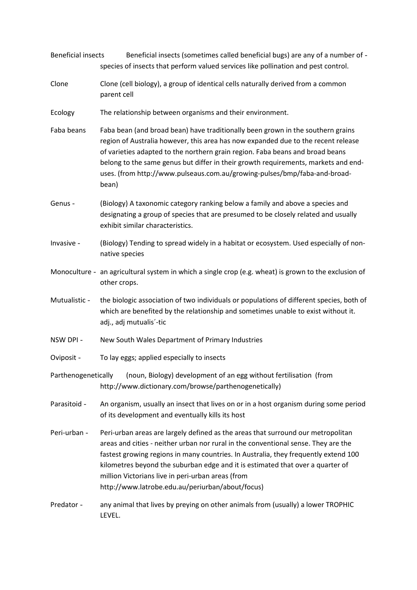| <b>Beneficial insects</b> | Beneficial insects (sometimes called beneficial bugs) are any of a number of -<br>species of insects that perform valued services like pollination and pest control.                                                                                                                                                                                                                                                                                     |  |  |
|---------------------------|----------------------------------------------------------------------------------------------------------------------------------------------------------------------------------------------------------------------------------------------------------------------------------------------------------------------------------------------------------------------------------------------------------------------------------------------------------|--|--|
| Clone                     | Clone (cell biology), a group of identical cells naturally derived from a common<br>parent cell                                                                                                                                                                                                                                                                                                                                                          |  |  |
| Ecology                   | The relationship between organisms and their environment.                                                                                                                                                                                                                                                                                                                                                                                                |  |  |
| Faba beans                | Faba bean (and broad bean) have traditionally been grown in the southern grains<br>region of Australia however, this area has now expanded due to the recent release<br>of varieties adapted to the northern grain region. Faba beans and broad beans<br>belong to the same genus but differ in their growth requirements, markets and end-<br>uses. (from http://www.pulseaus.com.au/growing-pulses/bmp/faba-and-broad-<br>bean)                        |  |  |
| Genus -                   | (Biology) A taxonomic category ranking below a family and above a species and<br>designating a group of species that are presumed to be closely related and usually<br>exhibit similar characteristics.                                                                                                                                                                                                                                                  |  |  |
| Invasive -                | (Biology) Tending to spread widely in a habitat or ecosystem. Used especially of non-<br>native species                                                                                                                                                                                                                                                                                                                                                  |  |  |
|                           | Monoculture - an agricultural system in which a single crop (e.g. wheat) is grown to the exclusion of<br>other crops.                                                                                                                                                                                                                                                                                                                                    |  |  |
| Mutualistic -             | the biologic association of two individuals or populations of different species, both of<br>which are benefited by the relationship and sometimes unable to exist without it.<br>adj., adj mutualis'-tic                                                                                                                                                                                                                                                 |  |  |
| NSW DPI -                 | New South Wales Department of Primary Industries                                                                                                                                                                                                                                                                                                                                                                                                         |  |  |
| Oviposit -                | To lay eggs; applied especially to insects                                                                                                                                                                                                                                                                                                                                                                                                               |  |  |
| Parthenogenetically       | (noun, Biology) development of an egg without fertilisation (from<br>http://www.dictionary.com/browse/parthenogenetically)                                                                                                                                                                                                                                                                                                                               |  |  |
| Parasitoid -              | An organism, usually an insect that lives on or in a host organism during some period<br>of its development and eventually kills its host                                                                                                                                                                                                                                                                                                                |  |  |
| Peri-urban -              | Peri-urban areas are largely defined as the areas that surround our metropolitan<br>areas and cities - neither urban nor rural in the conventional sense. They are the<br>fastest growing regions in many countries. In Australia, they frequently extend 100<br>kilometres beyond the suburban edge and it is estimated that over a quarter of<br>million Victorians live in peri-urban areas (from<br>http://www.latrobe.edu.au/periurban/about/focus) |  |  |
| Predator -                | any animal that lives by preying on other animals from (usually) a lower TROPHIC<br>LEVEL.                                                                                                                                                                                                                                                                                                                                                               |  |  |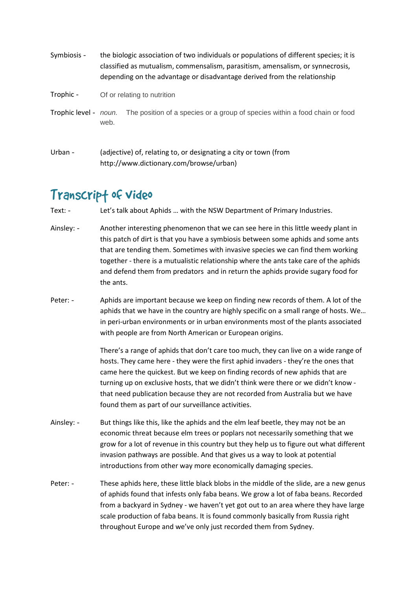| Symbiosis -           | the biologic association of two individuals or populations of different species; it is<br>classified as mutualism, commensalism, parasitism, amensalism, or synnecrosis,<br>depending on the advantage or disadvantage derived from the relationship |                                                                             |  |
|-----------------------|------------------------------------------------------------------------------------------------------------------------------------------------------------------------------------------------------------------------------------------------------|-----------------------------------------------------------------------------|--|
| Trophic -             | Of or relating to nutrition                                                                                                                                                                                                                          |                                                                             |  |
| Trophic level - noun. | web.                                                                                                                                                                                                                                                 | The position of a species or a group of species within a food chain or food |  |

Urban - (adjective) of, relating to, or designating a city or town (from http://www.dictionary.com/browse/urban)

### Transcrip† of video

Text: -Let's talk about Aphids ... with the NSW Department of Primary Industries.

- Ainsley: - this patch of dirt is that you have a symbiosis between some aphids and some ants that are tending them. Sometimes with invasive species we can find them working together - there is a mutualistic relationship where the ants take care of the aphids and defend them from predators and in return the aphids provide sugary food for the ants. Another interesting phenomenon that we can see here in this little weedy plant in
- Peter: - aphids that we have in the country are highly specific on a small range of hosts. We… in peri-urban environments or in urban environments most of the plants associated with people are from North American or European origins. Aphids are important because we keep on finding new records of them. A lot of the

 There's a range of aphids that don't care too much, they can live on a wide range of hosts. They came here - they were the first aphid invaders - they're the ones that came here the quickest. But we keep on finding records of new aphids that are turning up on exclusive hosts, that we didn't think were there or we didn't know - that need publication because they are not recorded from Australia but we have found them as part of our surveillance activities.

- Ainsley: - economic threat because elm trees or poplars not necessarily something that we grow for a lot of revenue in this country but they help us to figure out what different invasion pathways are possible. And that gives us a way to look at potential introductions from other way more economically damaging species. But things like this, like the aphids and the elm leaf beetle, they may not be an
- Peter: - of aphids found that infests only faba beans. We grow a lot of faba beans. Recorded from a backyard in Sydney - we haven't yet got out to an area where they have large scale production of faba beans. It is found commonly basically from Russia right throughout Europe and we've only just recorded them from Sydney. These aphids here, these little black blobs in the middle of the slide, are a new genus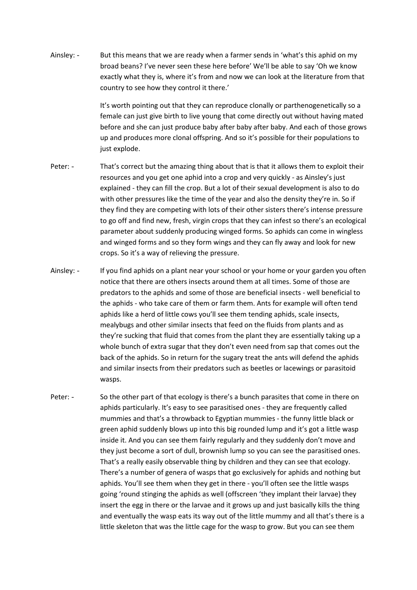Ainsley: - broad beans? I've never seen these here before' We'll be able to say 'Oh we know exactly what they is, where it's from and now we can look at the literature from that country to see how they control it there.' But this means that we are ready when a farmer sends in 'what's this aphid on my

> It's worth pointing out that they can reproduce clonally or parthenogenetically so a female can just give birth to live young that come directly out without having mated before and she can just produce baby after baby after baby. And each of those grows up and produces more clonal offspring. And so it's possible for their populations to just explode.

- Peter: - resources and you get one aphid into a crop and very quickly - as Ainsley's just explained - they can fill the crop. But a lot of their sexual development is also to do with other pressures like the time of the year and also the density they're in. So if they find they are competing with lots of their other sisters there's intense pressure to go off and find new, fresh, virgin crops that they can infest so there's an ecological parameter about suddenly producing winged forms. So aphids can come in wingless and winged forms and so they form wings and they can fly away and look for new crops. So it's a way of relieving the pressure. That's correct but the amazing thing about that is that it allows them to exploit their
- Ainsley: - notice that there are others insects around them at all times. Some of those are predators to the aphids and some of those are beneficial insects - well beneficial to the aphids - who take care of them or farm them. Ants for example will often tend aphids like a herd of little cows you'll see them tending aphids, scale insects, mealybugs and other similar insects that feed on the fluids from plants and as they're sucking that fluid that comes from the plant they are essentially taking up a whole bunch of extra sugar that they don't even need from sap that comes out the back of the aphids. So in return for the sugary treat the ants will defend the aphids and similar insects from their predators such as beetles or lacewings or parasitoid wasps. If you find aphids on a plant near your school or your home or your garden you often
- Peter: - aphids particularly. It's easy to see parasitised ones - they are frequently called mummies and that's a throwback to Egyptian mummies - the funny little black or green aphid suddenly blows up into this big rounded lump and it's got a little wasp inside it. And you can see them fairly regularly and they suddenly don't move and they just become a sort of dull, brownish lump so you can see the parasitised ones. That's a really easily observable thing by children and they can see that ecology. There's a number of genera of wasps that go exclusively for aphids and nothing but aphids. You'll see them when they get in there - you'll often see the little wasps going 'round stinging the aphids as well (offscreen 'they implant their larvae) they insert the egg in there or the larvae and it grows up and just basically kills the thing and eventually the wasp eats its way out of the little mummy and all that's there is a little skeleton that was the little cage for the wasp to grow. But you can see them So the other part of that ecology is there's a bunch parasites that come in there on